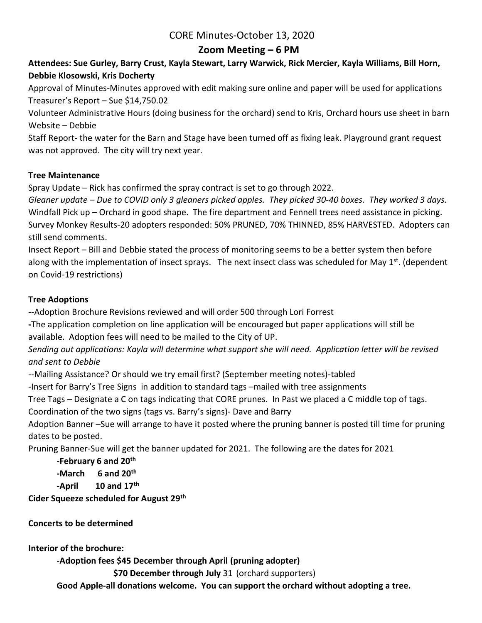# CORE Minutes-October 13, 2020

## **Zoom Meeting – 6 PM**

## **Attendees: Sue Gurley, Barry Crust, Kayla Stewart, Larry Warwick, Rick Mercier, Kayla Williams, Bill Horn, Debbie Klosowski, Kris Docherty**

Approval of Minutes-Minutes approved with edit making sure online and paper will be used for applications Treasurer's Report – Sue \$14,750.02

Volunteer Administrative Hours (doing business for the orchard) send to Kris, Orchard hours use sheet in barn Website – Debbie

Staff Report- the water for the Barn and Stage have been turned off as fixing leak. Playground grant request was not approved. The city will try next year.

### **Tree Maintenance**

Spray Update – Rick has confirmed the spray contract is set to go through 2022.

*Gleaner update – Due to COVID only 3 gleaners picked apples. They picked 30-40 boxes. They worked 3 days.* Windfall Pick up – Orchard in good shape. The fire department and Fennell trees need assistance in picking. Survey Monkey Results-20 adopters responded: 50% PRUNED, 70% THINNED, 85% HARVESTED. Adopters can still send comments.

Insect Report – Bill and Debbie stated the process of monitoring seems to be a better system then before along with the implementation of insect sprays. The next insect class was scheduled for May 1<sup>st</sup>. (dependent on Covid-19 restrictions)

### **Tree Adoptions**

--Adoption Brochure Revisions reviewed and will order 500 through Lori Forrest

**-**The application completion on line application will be encouraged but paper applications will still be available. Adoption fees will need to be mailed to the City of UP.

*Sending out applications: Kayla will determine what support she will need. Application letter will be revised and sent to Debbie*

--Mailing Assistance? Or should we try email first? (September meeting notes)-tabled

-Insert for Barry's Tree Signs in addition to standard tags –mailed with tree assignments

Tree Tags – Designate a C on tags indicating that CORE prunes. In Past we placed a C middle top of tags.

Coordination of the two signs (tags vs. Barry's signs)- Dave and Barry

Adoption Banner –Sue will arrange to have it posted where the pruning banner is posted till time for pruning dates to be posted.

Pruning Banner-Sue will get the banner updated for 2021. The following are the dates for 2021

**-February 6 and 20th -March 6 and 20th -April 10 and 17th**

**Cider Squeeze scheduled for August 29th**

### **Concerts to be determined**

**Interior of the brochure:**

**-Adoption fees \$45 December through April (pruning adopter)**

**\$70 December through July** 31 (orchard supporters)

**Good Apple-all donations welcome. You can support the orchard without adopting a tree.**